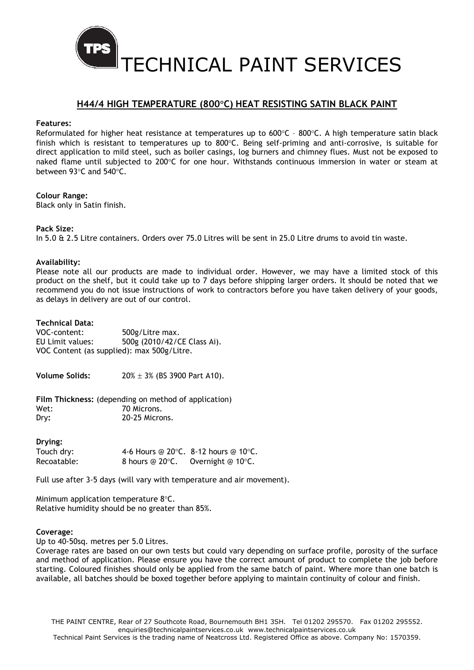

TECHNICAL PAINT SERVICES

# H44/4 HIGH TEMPERATURE (800°C) HEAT RESISTING SATIN BLACK PAINT

#### Features:

Reformulated for higher heat resistance at temperatures up to  $600^{\circ}$ C -  $800^{\circ}$ C. A high temperature satin black finish which is resistant to temperatures up to 800 $\degree$ C. Being self-priming and anti-corrosive, is suitable for direct application to mild steel, such as boiler casings, log burners and chimney flues. Must not be exposed to naked flame until subjected to 200°C for one hour. Withstands continuous immersion in water or steam at between 93 $\degree$ C and 540 $\degree$ C.

# Colour Range:

Black only in Satin finish.

# Pack Size:

In 5.0 & 2.5 Litre containers. Orders over 75.0 Litres will be sent in 25.0 Litre drums to avoid tin waste.

# Availability:

Please note all our products are made to individual order. However, we may have a limited stock of this product on the shelf, but it could take up to 7 days before shipping larger orders. It should be noted that we recommend you do not issue instructions of work to contractors before you have taken delivery of your goods, as delays in delivery are out of our control.

# Technical Data:

| VOC-content:                               | 500g/Litre max.             |  |
|--------------------------------------------|-----------------------------|--|
| EU Limit values:                           | 500g (2010/42/CE Class Ai). |  |
| VOC Content (as supplied): max 500g/Litre. |                             |  |

**Volume Solids:**  $20\% \pm 3\%$  (BS 3900 Part A10).

Film Thickness: (depending on method of application) Wet: 70 Microns. Dry: 20-25 Microns.

#### Drying:

| Touch dry:  |                       | 4-6 Hours @ 20 $\degree$ C. 8-12 hours @ 10 $\degree$ C. |
|-------------|-----------------------|----------------------------------------------------------|
| Recoatable: | 8 hours $@$ 20 $°C$ . | Overnight $@$ 10 $°C$ .                                  |

Full use after 3-5 days (will vary with temperature and air movement).

Minimum application temperature  $8^{\circ}$ C. Relative humidity should be no greater than 85%.

#### Coverage:

Up to 40-50sq. metres per 5.0 Litres.

Coverage rates are based on our own tests but could vary depending on surface profile, porosity of the surface and method of application. Please ensure you have the correct amount of product to complete the job before starting. Coloured finishes should only be applied from the same batch of paint. Where more than one batch is available, all batches should be boxed together before applying to maintain continuity of colour and finish.